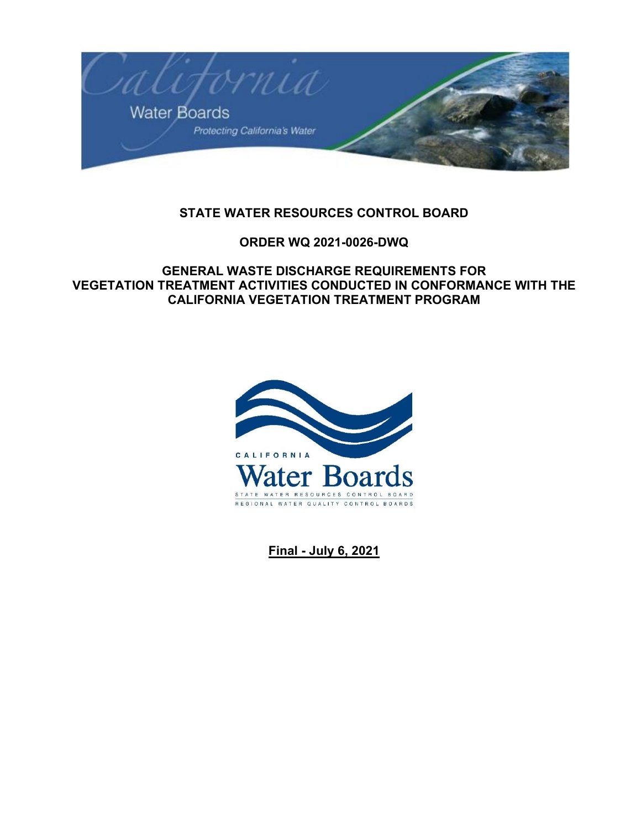

# **STATE WATER RESOURCES CONTROL BOARD**

#### **ORDER WQ 2021-0026-DWQ**

**GENERAL WASTE DISCHARGE REQUIREMENTS FOR VEGETATION TREATMENT ACTIVITIES CONDUCTED IN CONFORMANCE WITH THE CALIFORNIA VEGETATION TREATMENT PROGRAM**



**Final - July 6, 2021**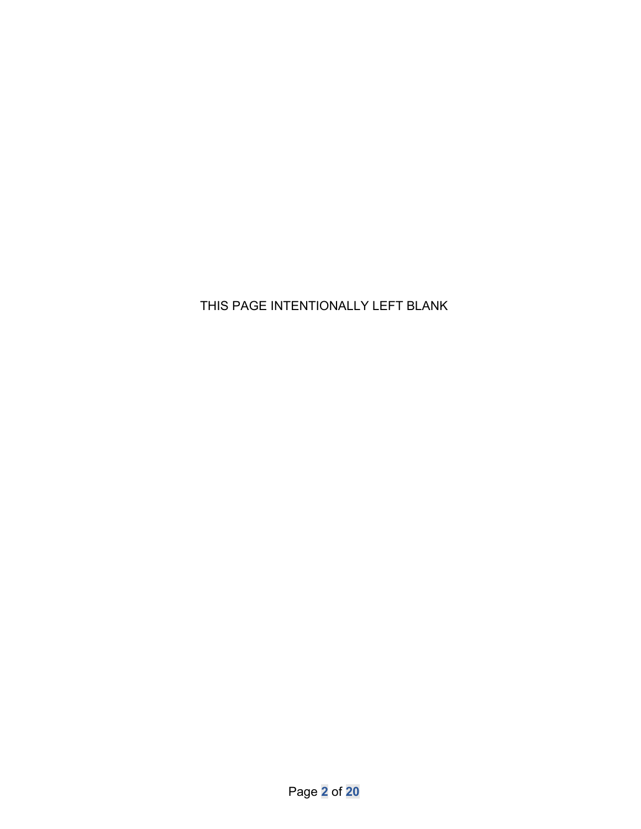# THIS PAGE INTENTIONALLY LEFT BLANK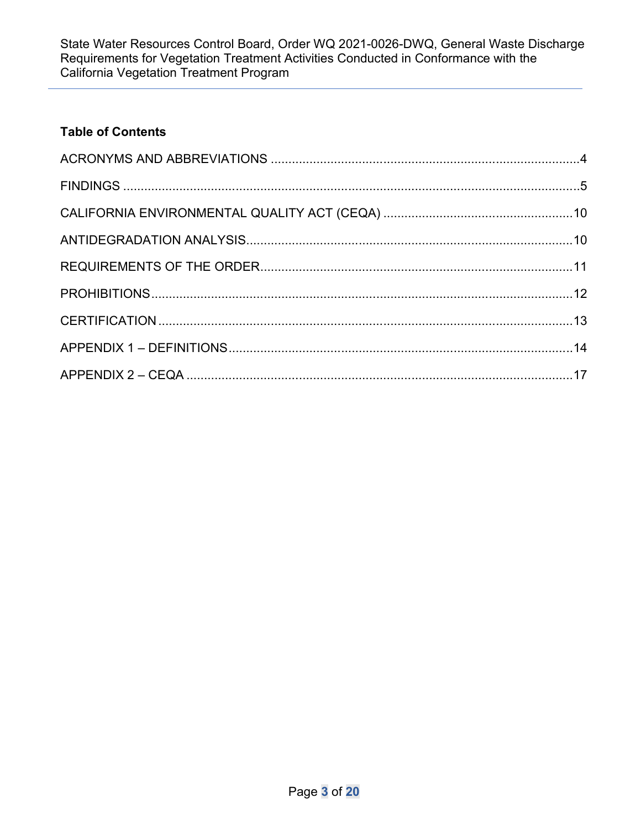#### **Table of Contents**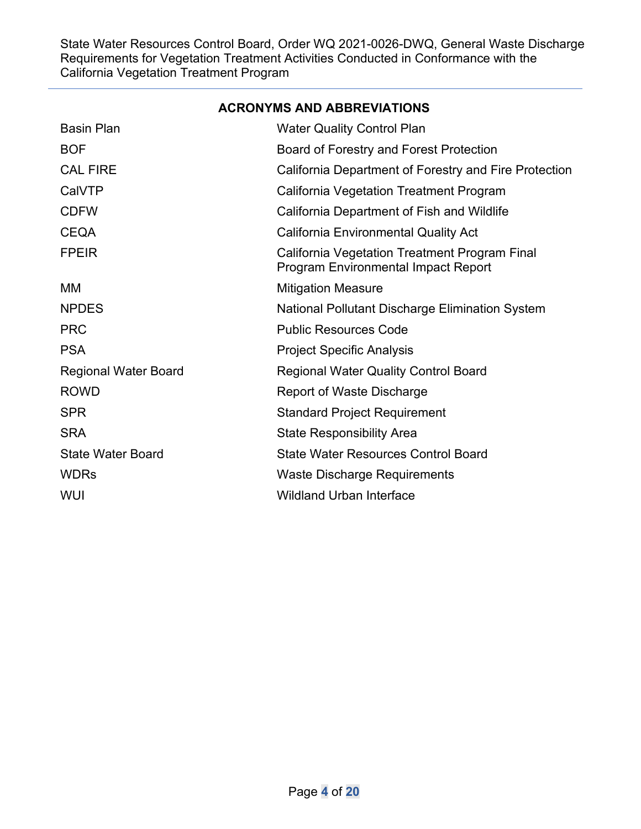<span id="page-3-0"></span>

| <b>ACRONYMS AND ABBREVIATIONS</b> |                                                                                                    |  |  |
|-----------------------------------|----------------------------------------------------------------------------------------------------|--|--|
| <b>Basin Plan</b>                 | <b>Water Quality Control Plan</b>                                                                  |  |  |
| <b>BOF</b>                        | Board of Forestry and Forest Protection                                                            |  |  |
| <b>CAL FIRE</b>                   | California Department of Forestry and Fire Protection                                              |  |  |
| CalVTP                            | <b>California Vegetation Treatment Program</b>                                                     |  |  |
| <b>CDFW</b>                       | California Department of Fish and Wildlife                                                         |  |  |
| <b>CEQA</b>                       | <b>California Environmental Quality Act</b>                                                        |  |  |
| <b>FPEIR</b>                      | <b>California Vegetation Treatment Program Final</b><br><b>Program Environmental Impact Report</b> |  |  |
| MМ                                | <b>Mitigation Measure</b>                                                                          |  |  |
| <b>NPDES</b>                      | National Pollutant Discharge Elimination System                                                    |  |  |
| <b>PRC</b>                        | <b>Public Resources Code</b>                                                                       |  |  |
| <b>PSA</b>                        | <b>Project Specific Analysis</b>                                                                   |  |  |
| <b>Regional Water Board</b>       | <b>Regional Water Quality Control Board</b>                                                        |  |  |
| <b>ROWD</b>                       | <b>Report of Waste Discharge</b>                                                                   |  |  |
| <b>SPR</b>                        | <b>Standard Project Requirement</b>                                                                |  |  |
| <b>SRA</b>                        | <b>State Responsibility Area</b>                                                                   |  |  |
| <b>State Water Board</b>          | <b>State Water Resources Control Board</b>                                                         |  |  |
| <b>WDRs</b>                       | <b>Waste Discharge Requirements</b>                                                                |  |  |
| <b>WUI</b>                        | <b>Wildland Urban Interface</b>                                                                    |  |  |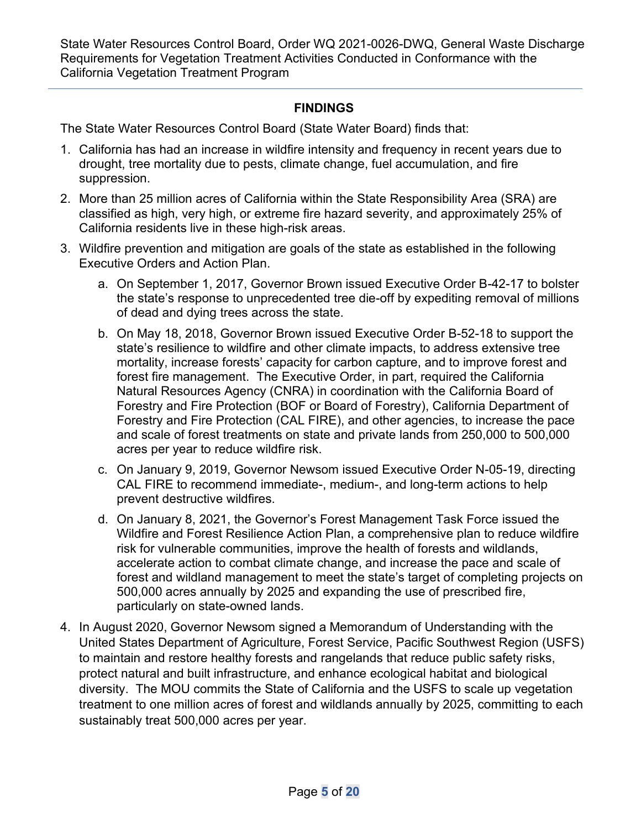# **FINDINGS**

<span id="page-4-0"></span>The State Water Resources Control Board (State Water Board) finds that:

- 1. California has had an increase in wildfire intensity and frequency in recent years due to drought, tree mortality due to pests, climate change, fuel accumulation, and fire suppression.
- 2. More than 25 million acres of California within the State Responsibility Area (SRA) are classified as high, very high, or extreme fire hazard severity, and approximately 25% of California residents live in these high-risk areas.
- 3. Wildfire prevention and mitigation are goals of the state as established in the following Executive Orders and Action Plan.
	- a. On September 1, 2017, Governor Brown issued Executive Order B-42-17 to bolster the state's response to unprecedented tree die-off by expediting removal of millions of dead and dying trees across the state.
	- b. On May 18, 2018, Governor Brown issued Executive Order B-52-18 to support the state's resilience to wildfire and other climate impacts, to address extensive tree mortality, increase forests' capacity for carbon capture, and to improve forest and forest fire management. The Executive Order, in part, required the California Natural Resources Agency (CNRA) in coordination with the California Board of Forestry and Fire Protection (BOF or Board of Forestry), California Department of Forestry and Fire Protection (CAL FIRE), and other agencies, to increase the pace and scale of forest treatments on state and private lands from 250,000 to 500,000 acres per year to reduce wildfire risk.
	- c. On January 9, 2019, Governor Newsom issued Executive Order N-05-19, directing CAL FIRE to recommend immediate-, medium-, and long-term actions to help prevent destructive wildfires.
	- d. On January 8, 2021, the Governor's Forest Management Task Force issued the Wildfire and Forest Resilience Action Plan, a comprehensive plan to reduce wildfire risk for vulnerable communities, improve the health of forests and wildlands, accelerate action to combat climate change, and increase the pace and scale of forest and wildland management to meet the state's target of completing projects on 500,000 acres annually by 2025 and expanding the use of prescribed fire, particularly on state-owned lands.
- 4. In August 2020, Governor Newsom signed a Memorandum of Understanding with the United States Department of Agriculture, Forest Service, Pacific Southwest Region (USFS) to maintain and restore healthy forests and rangelands that reduce public safety risks, protect natural and built infrastructure, and enhance ecological habitat and biological diversity. The MOU commits the State of California and the USFS to scale up vegetation treatment to one million acres of forest and wildlands annually by 2025, committing to each sustainably treat 500,000 acres per year.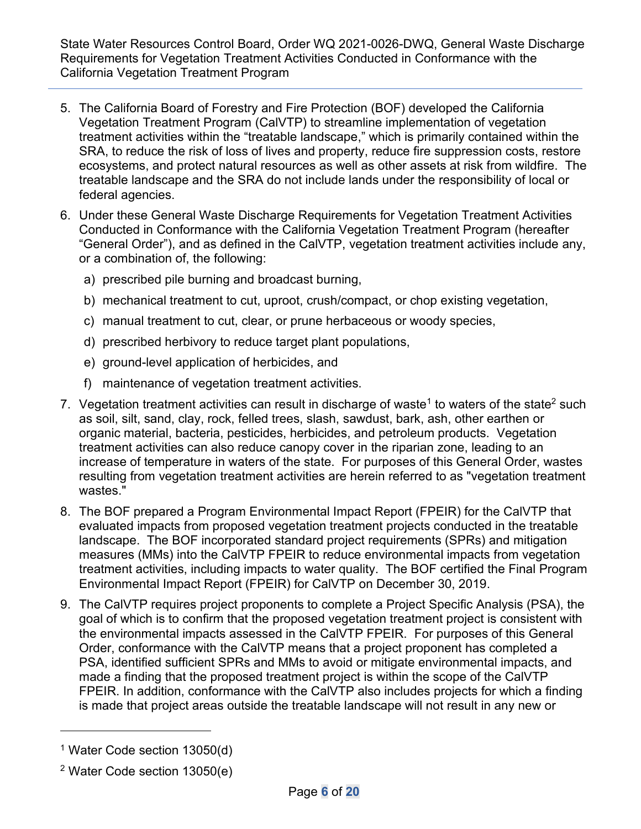- 5. The California Board of Forestry and Fire Protection (BOF) developed the California Vegetation Treatment Program (CalVTP) to streamline implementation of vegetation treatment activities within the "treatable landscape," which is primarily contained within the SRA, to reduce the risk of loss of lives and property, reduce fire suppression costs, restore ecosystems, and protect natural resources as well as other assets at risk from wildfire. The treatable landscape and the SRA do not include lands under the responsibility of local or federal agencies.
- 6. Under these General Waste Discharge Requirements for Vegetation Treatment Activities Conducted in Conformance with the California Vegetation Treatment Program (hereafter "General Order"), and as defined in the CalVTP, vegetation treatment activities include any, or a combination of, the following:
	- a) prescribed pile burning and broadcast burning,
	- b) mechanical treatment to cut, uproot, crush/compact, or chop existing vegetation,
	- c) manual treatment to cut, clear, or prune herbaceous or woody species,
	- d) prescribed herbivory to reduce target plant populations,
	- e) ground-level application of herbicides, and
	- f) maintenance of vegetation treatment activities.
- 7. Vegetation treatment activities can result in discharge of waste<sup>[1](#page-5-0)</sup> to waters of the state<sup>[2](#page-5-1)</sup> such as soil, silt, sand, clay, rock, felled trees, slash, sawdust, bark, ash, other earthen or organic material, bacteria, pesticides, herbicides, and petroleum products. Vegetation treatment activities can also reduce canopy cover in the riparian zone, leading to an increase of temperature in waters of the state. For purposes of this General Order, wastes resulting from vegetation treatment activities are herein referred to as "vegetation treatment wastes."
- 8. The BOF prepared a Program Environmental Impact Report (FPEIR) for the CalVTP that evaluated impacts from proposed vegetation treatment projects conducted in the treatable landscape. The BOF incorporated standard project requirements (SPRs) and mitigation measures (MMs) into the CalVTP FPEIR to reduce environmental impacts from vegetation treatment activities, including impacts to water quality. The BOF certified the Final Program Environmental Impact Report (FPEIR) for CalVTP on December 30, 2019.
- 9. The CalVTP requires project proponents to complete a Project Specific Analysis (PSA), the goal of which is to confirm that the proposed vegetation treatment project is consistent with the environmental impacts assessed in the CalVTP FPEIR. For purposes of this General Order, conformance with the CalVTP means that a project proponent has completed a PSA, identified sufficient SPRs and MMs to avoid or mitigate environmental impacts, and made a finding that the proposed treatment project is within the scope of the CalVTP FPEIR. In addition, conformance with the CalVTP also includes projects for which a finding is made that project areas outside the treatable landscape will not result in any new or

<span id="page-5-0"></span><sup>1</sup> Water Code section 13050(d)

<span id="page-5-1"></span><sup>2</sup> Water Code section 13050(e)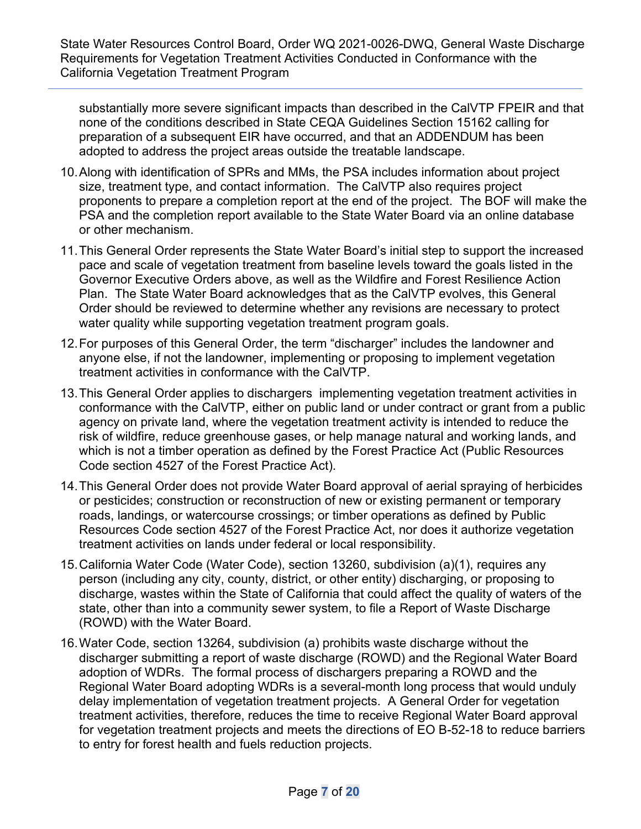substantially more severe significant impacts than described in the CalVTP FPEIR and that none of the conditions described in State CEQA Guidelines Section 15162 calling for preparation of a subsequent EIR have occurred, and that an ADDENDUM has been adopted to address the project areas outside the treatable landscape.

- 10.Along with identification of SPRs and MMs, the PSA includes information about project size, treatment type, and contact information. The CalVTP also requires project proponents to prepare a completion report at the end of the project. The BOF will make the PSA and the completion report available to the State Water Board via an online database or other mechanism.
- 11.This General Order represents the State Water Board's initial step to support the increased pace and scale of vegetation treatment from baseline levels toward the goals listed in the Governor Executive Orders above, as well as the Wildfire and Forest Resilience Action Plan. The State Water Board acknowledges that as the CalVTP evolves, this General Order should be reviewed to determine whether any revisions are necessary to protect water quality while supporting vegetation treatment program goals.
- 12.For purposes of this General Order, the term "discharger" includes the landowner and anyone else, if not the landowner, implementing or proposing to implement vegetation treatment activities in conformance with the CalVTP.
- 13.This General Order applies to dischargers implementing vegetation treatment activities in conformance with the CalVTP, either on public land or under contract or grant from a public agency on private land, where the vegetation treatment activity is intended to reduce the risk of wildfire, reduce greenhouse gases, or help manage natural and working lands, and which is not a timber operation as defined by the Forest Practice Act (Public Resources Code section 4527 of the Forest Practice Act).
- 14.This General Order does not provide Water Board approval of aerial spraying of herbicides or pesticides; construction or reconstruction of new or existing permanent or temporary roads, landings, or watercourse crossings; or timber operations as defined by Public Resources Code section 4527 of the Forest Practice Act, nor does it authorize vegetation treatment activities on lands under federal or local responsibility.
- 15.California Water Code (Water Code), section 13260, subdivision (a)(1), requires any person (including any city, county, district, or other entity) discharging, or proposing to discharge, wastes within the State of California that could affect the quality of waters of the state, other than into a community sewer system, to file a Report of Waste Discharge (ROWD) with the Water Board.
- 16.Water Code, section 13264, subdivision (a) prohibits waste discharge without the discharger submitting a report of waste discharge (ROWD) and the Regional Water Board adoption of WDRs. The formal process of dischargers preparing a ROWD and the Regional Water Board adopting WDRs is a several-month long process that would unduly delay implementation of vegetation treatment projects. A General Order for vegetation treatment activities, therefore, reduces the time to receive Regional Water Board approval for vegetation treatment projects and meets the directions of EO B-52-18 to reduce barriers to entry for forest health and fuels reduction projects.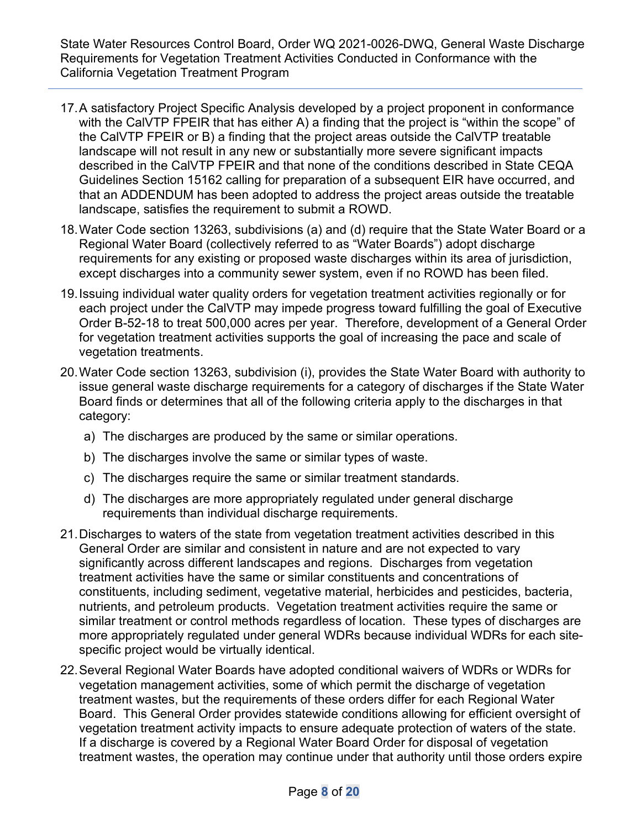- 17.A satisfactory Project Specific Analysis developed by a project proponent in conformance with the CalVTP FPEIR that has either A) a finding that the project is "within the scope" of the CalVTP FPEIR or B) a finding that the project areas outside the CalVTP treatable landscape will not result in any new or substantially more severe significant impacts described in the CalVTP FPEIR and that none of the conditions described in State CEQA Guidelines Section 15162 calling for preparation of a subsequent EIR have occurred, and that an ADDENDUM has been adopted to address the project areas outside the treatable landscape, satisfies the requirement to submit a ROWD.
- 18.Water Code section 13263, subdivisions (a) and (d) require that the State Water Board or a Regional Water Board (collectively referred to as "Water Boards") adopt discharge requirements for any existing or proposed waste discharges within its area of jurisdiction, except discharges into a community sewer system, even if no ROWD has been filed.
- 19.Issuing individual water quality orders for vegetation treatment activities regionally or for each project under the CalVTP may impede progress toward fulfilling the goal of Executive Order B-52-18 to treat 500,000 acres per year. Therefore, development of a General Order for vegetation treatment activities supports the goal of increasing the pace and scale of vegetation treatments.
- 20.Water Code section 13263, subdivision (i), provides the State Water Board with authority to issue general waste discharge requirements for a category of discharges if the State Water Board finds or determines that all of the following criteria apply to the discharges in that category:
	- a) The discharges are produced by the same or similar operations.
	- b) The discharges involve the same or similar types of waste.
	- c) The discharges require the same or similar treatment standards.
	- d) The discharges are more appropriately regulated under general discharge requirements than individual discharge requirements.
- 21.Discharges to waters of the state from vegetation treatment activities described in this General Order are similar and consistent in nature and are not expected to vary significantly across different landscapes and regions. Discharges from vegetation treatment activities have the same or similar constituents and concentrations of constituents, including sediment, vegetative material, herbicides and pesticides, bacteria, nutrients, and petroleum products. Vegetation treatment activities require the same or similar treatment or control methods regardless of location. These types of discharges are more appropriately regulated under general WDRs because individual WDRs for each sitespecific project would be virtually identical.
- 22.Several Regional Water Boards have adopted conditional waivers of WDRs or WDRs for vegetation management activities, some of which permit the discharge of vegetation treatment wastes, but the requirements of these orders differ for each Regional Water Board. This General Order provides statewide conditions allowing for efficient oversight of vegetation treatment activity impacts to ensure adequate protection of waters of the state. If a discharge is covered by a Regional Water Board Order for disposal of vegetation treatment wastes, the operation may continue under that authority until those orders expire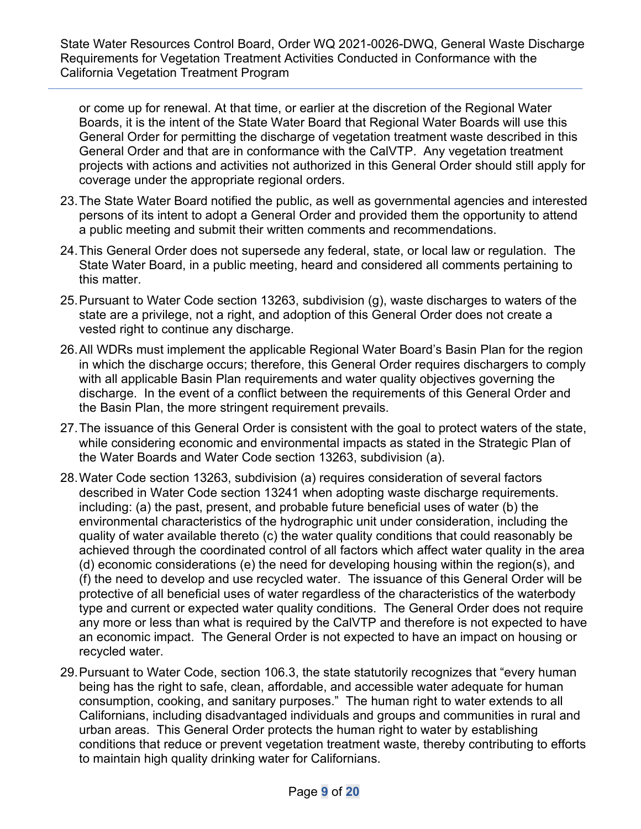or come up for renewal. At that time, or earlier at the discretion of the Regional Water Boards, it is the intent of the State Water Board that Regional Water Boards will use this General Order for permitting the discharge of vegetation treatment waste described in this General Order and that are in conformance with the CalVTP. Any vegetation treatment projects with actions and activities not authorized in this General Order should still apply for coverage under the appropriate regional orders.

- 23.The State Water Board notified the public, as well as governmental agencies and interested persons of its intent to adopt a General Order and provided them the opportunity to attend a public meeting and submit their written comments and recommendations.
- 24.This General Order does not supersede any federal, state, or local law or regulation. The State Water Board, in a public meeting, heard and considered all comments pertaining to this matter.
- 25.Pursuant to Water Code section 13263, subdivision (g), waste discharges to waters of the state are a privilege, not a right, and adoption of this General Order does not create a vested right to continue any discharge.
- 26.All WDRs must implement the applicable Regional Water Board's Basin Plan for the region in which the discharge occurs; therefore, this General Order requires dischargers to comply with all applicable Basin Plan requirements and water quality objectives governing the discharge. In the event of a conflict between the requirements of this General Order and the Basin Plan, the more stringent requirement prevails.
- 27.The issuance of this General Order is consistent with the goal to protect waters of the state, while considering economic and environmental impacts as stated in the Strategic Plan of the Water Boards and Water Code section 13263, subdivision (a).
- 28.Water Code section 13263, subdivision (a) requires consideration of several factors described in Water Code section 13241 when adopting waste discharge requirements. including: (a) the past, present, and probable future beneficial uses of water (b) the environmental characteristics of the hydrographic unit under consideration, including the quality of water available thereto (c) the water quality conditions that could reasonably be achieved through the coordinated control of all factors which affect water quality in the area (d) economic considerations (e) the need for developing housing within the region(s), and (f) the need to develop and use recycled water. The issuance of this General Order will be protective of all beneficial uses of water regardless of the characteristics of the waterbody type and current or expected water quality conditions. The General Order does not require any more or less than what is required by the CalVTP and therefore is not expected to have an economic impact. The General Order is not expected to have an impact on housing or recycled water.
- 29.Pursuant to Water Code, section 106.3, the state statutorily recognizes that "every human being has the right to safe, clean, affordable, and accessible water adequate for human consumption, cooking, and sanitary purposes." The human right to water extends to all Californians, including disadvantaged individuals and groups and communities in rural and urban areas. This General Order protects the human right to water by establishing conditions that reduce or prevent vegetation treatment waste, thereby contributing to efforts to maintain high quality drinking water for Californians.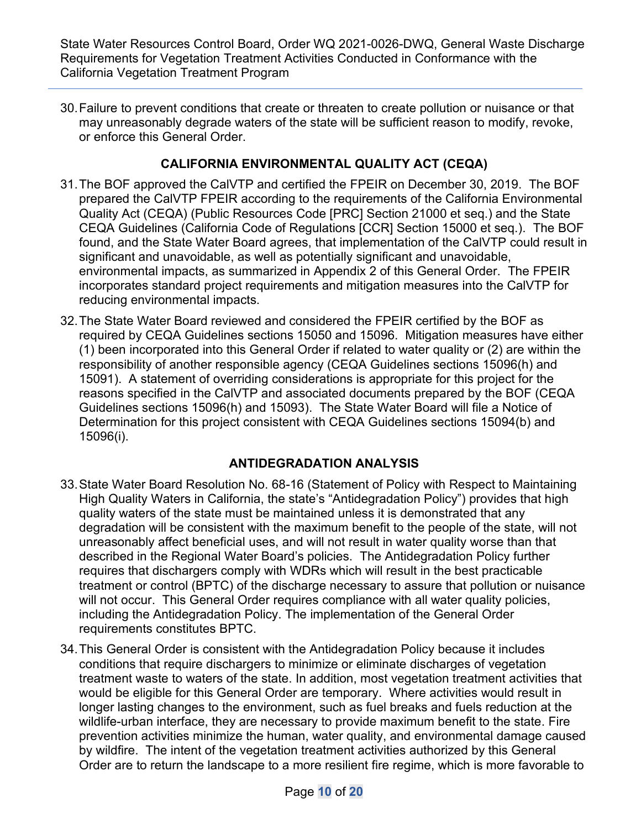30.Failure to prevent conditions that create or threaten to create pollution or nuisance or that may unreasonably degrade waters of the state will be sufficient reason to modify, revoke, or enforce this General Order.

# **CALIFORNIA ENVIRONMENTAL QUALITY ACT (CEQA)**

- <span id="page-9-0"></span>31.The BOF approved the CalVTP and certified the FPEIR on December 30, 2019. The BOF prepared the CalVTP FPEIR according to the requirements of the California Environmental Quality Act (CEQA) (Public Resources Code [PRC] Section 21000 et seq.) and the State CEQA Guidelines (California Code of Regulations [CCR] Section 15000 et seq.). The BOF found, and the State Water Board agrees, that implementation of the CalVTP could result in significant and unavoidable, as well as potentially significant and unavoidable, environmental impacts, as summarized in Appendix 2 of this General Order. The FPEIR incorporates standard project requirements and mitigation measures into the CalVTP for reducing environmental impacts.
- 32.The State Water Board reviewed and considered the FPEIR certified by the BOF as required by CEQA Guidelines sections 15050 and 15096. Mitigation measures have either (1) been incorporated into this General Order if related to water quality or (2) are within the responsibility of another responsible agency (CEQA Guidelines sections 15096(h) and 15091). A statement of overriding considerations is appropriate for this project for the reasons specified in the CalVTP and associated documents prepared by the BOF (CEQA Guidelines sections 15096(h) and 15093). The State Water Board will file a Notice of Determination for this project consistent with CEQA Guidelines sections 15094(b) and 15096(i).

# **ANTIDEGRADATION ANALYSIS**

- <span id="page-9-1"></span>33.State Water Board Resolution No. 68-16 (Statement of Policy with Respect to Maintaining High Quality Waters in California, the state's "Antidegradation Policy") provides that high quality waters of the state must be maintained unless it is demonstrated that any degradation will be consistent with the maximum benefit to the people of the state, will not unreasonably affect beneficial uses, and will not result in water quality worse than that described in the Regional Water Board's policies. The Antidegradation Policy further requires that dischargers comply with WDRs which will result in the best practicable treatment or control (BPTC) of the discharge necessary to assure that pollution or nuisance will not occur. This General Order requires compliance with all water quality policies, including the Antidegradation Policy. The implementation of the General Order requirements constitutes BPTC.
- 34.This General Order is consistent with the Antidegradation Policy because it includes conditions that require dischargers to minimize or eliminate discharges of vegetation treatment waste to waters of the state. In addition, most vegetation treatment activities that would be eligible for this General Order are temporary. Where activities would result in longer lasting changes to the environment, such as fuel breaks and fuels reduction at the wildlife-urban interface, they are necessary to provide maximum benefit to the state. Fire prevention activities minimize the human, water quality, and environmental damage caused by wildfire. The intent of the vegetation treatment activities authorized by this General Order are to return the landscape to a more resilient fire regime, which is more favorable to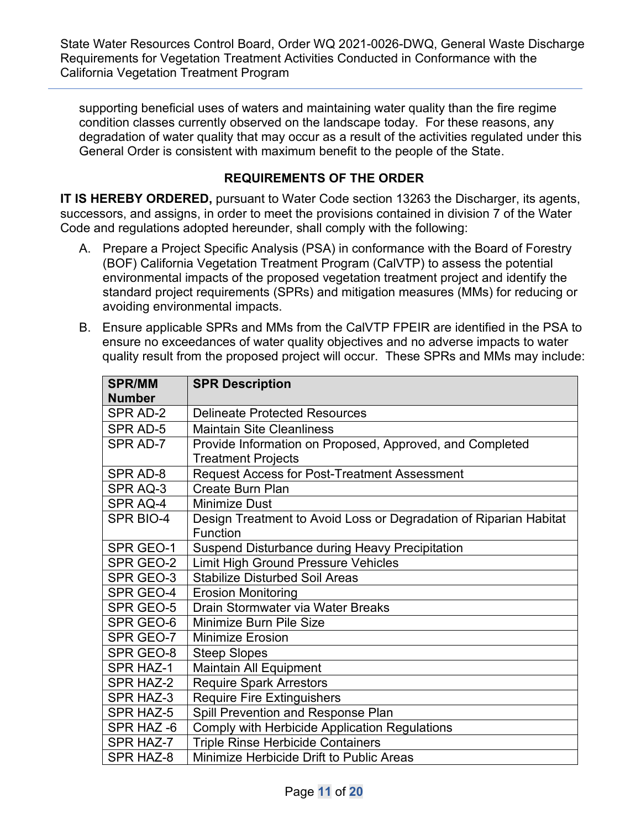supporting beneficial uses of waters and maintaining water quality than the fire regime condition classes currently observed on the landscape today. For these reasons, any degradation of water quality that may occur as a result of the activities regulated under this General Order is consistent with maximum benefit to the people of the State.

# **REQUIREMENTS OF THE ORDER**

<span id="page-10-0"></span>**IT IS HEREBY ORDERED,** pursuant to Water Code section 13263 the Discharger, its agents, successors, and assigns, in order to meet the provisions contained in division 7 of the Water Code and regulations adopted hereunder, shall comply with the following:

- A. Prepare a Project Specific Analysis (PSA) in conformance with the Board of Forestry (BOF) California Vegetation Treatment Program (CalVTP) to assess the potential environmental impacts of the proposed vegetation treatment project and identify the standard project requirements (SPRs) and mitigation measures (MMs) for reducing or avoiding environmental impacts.
- B. Ensure applicable SPRs and MMs from the CalVTP FPEIR are identified in the PSA to ensure no exceedances of water quality objectives and no adverse impacts to water quality result from the proposed project will occur. These SPRs and MMs may include:

| <b>SPR/MM</b>    | <b>SPR Description</b>                                            |
|------------------|-------------------------------------------------------------------|
| <b>Number</b>    |                                                                   |
| SPR AD-2         | <b>Delineate Protected Resources</b>                              |
| SPR AD-5         | <b>Maintain Site Cleanliness</b>                                  |
| SPR AD-7         | Provide Information on Proposed, Approved, and Completed          |
|                  | <b>Treatment Projects</b>                                         |
| SPR AD-8         | Request Access for Post-Treatment Assessment                      |
| SPR AQ-3         | <b>Create Burn Plan</b>                                           |
| SPR AQ-4         | <b>Minimize Dust</b>                                              |
| SPR BIO-4        | Design Treatment to Avoid Loss or Degradation of Riparian Habitat |
|                  | Function                                                          |
| SPR GEO-1        | <b>Suspend Disturbance during Heavy Precipitation</b>             |
| SPR GEO-2        | <b>Limit High Ground Pressure Vehicles</b>                        |
| SPR GEO-3        | <b>Stabilize Disturbed Soil Areas</b>                             |
| SPR GEO-4        | <b>Erosion Monitoring</b>                                         |
| SPR GEO-5        | Drain Stormwater via Water Breaks                                 |
| SPR GEO-6        | Minimize Burn Pile Size                                           |
| SPR GEO-7        | <b>Minimize Erosion</b>                                           |
| SPR GEO-8        | <b>Steep Slopes</b>                                               |
| SPR HAZ-1        | <b>Maintain All Equipment</b>                                     |
| SPR HAZ-2        | <b>Require Spark Arrestors</b>                                    |
| SPR HAZ-3        | <b>Require Fire Extinguishers</b>                                 |
| <b>SPR HAZ-5</b> | Spill Prevention and Response Plan                                |
| SPR HAZ -6       | Comply with Herbicide Application Regulations                     |
| SPR HAZ-7        | <b>Triple Rinse Herbicide Containers</b>                          |
| SPR HAZ-8        | Minimize Herbicide Drift to Public Areas                          |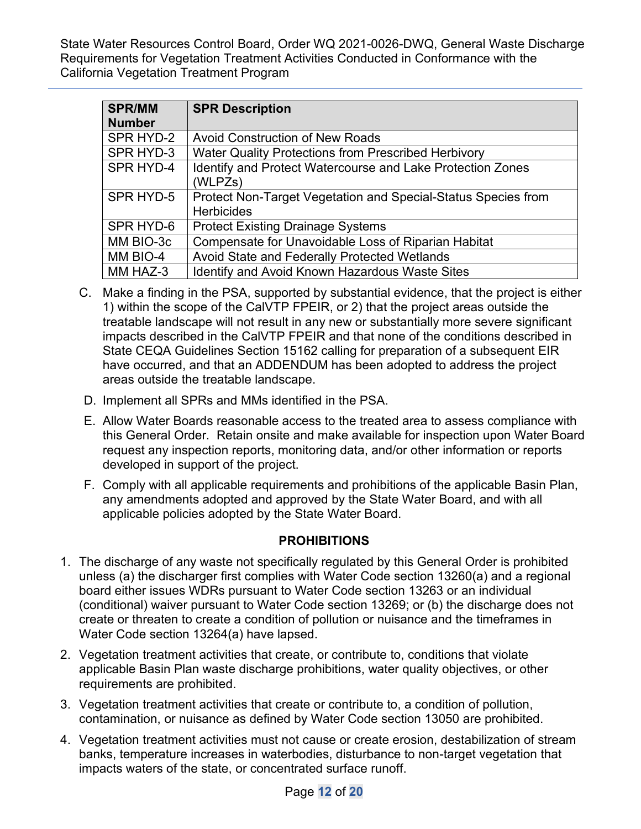| <b>SPR/MM</b>    | <b>SPR Description</b>                                        |
|------------------|---------------------------------------------------------------|
| <b>Number</b>    |                                                               |
| SPR HYD-2        | <b>Avoid Construction of New Roads</b>                        |
| SPR HYD-3        | <b>Water Quality Protections from Prescribed Herbivory</b>    |
| <b>SPR HYD-4</b> | Identify and Protect Watercourse and Lake Protection Zones    |
|                  | (WLPZs)                                                       |
| <b>SPR HYD-5</b> | Protect Non-Target Vegetation and Special-Status Species from |
|                  | <b>Herbicides</b>                                             |
| <b>SPR HYD-6</b> | <b>Protect Existing Drainage Systems</b>                      |
| MM BIO-3c        | Compensate for Unavoidable Loss of Riparian Habitat           |
| MM BIO-4         | Avoid State and Federally Protected Wetlands                  |
| MM HAZ-3         | <b>Identify and Avoid Known Hazardous Waste Sites</b>         |

- C. Make a finding in the PSA, supported by substantial evidence, that the project is either 1) within the scope of the CalVTP FPEIR, or 2) that the project areas outside the treatable landscape will not result in any new or substantially more severe significant impacts described in the CalVTP FPEIR and that none of the conditions described in State CEQA Guidelines Section 15162 calling for preparation of a subsequent EIR have occurred, and that an ADDENDUM has been adopted to address the project areas outside the treatable landscape.
- D. Implement all SPRs and MMs identified in the PSA.
- E. Allow Water Boards reasonable access to the treated area to assess compliance with this General Order. Retain onsite and make available for inspection upon Water Board request any inspection reports, monitoring data, and/or other information or reports developed in support of the project.
- F. Comply with all applicable requirements and prohibitions of the applicable Basin Plan, any amendments adopted and approved by the State Water Board, and with all applicable policies adopted by the State Water Board.

# **PROHIBITIONS**

- <span id="page-11-0"></span>1. The discharge of any waste not specifically regulated by this General Order is prohibited unless (a) the discharger first complies with Water Code section 13260(a) and a regional board either issues WDRs pursuant to Water Code section 13263 or an individual (conditional) waiver pursuant to Water Code section 13269; or (b) the discharge does not create or threaten to create a condition of pollution or nuisance and the timeframes in Water Code section 13264(a) have lapsed.
- 2. Vegetation treatment activities that create, or contribute to, conditions that violate applicable Basin Plan waste discharge prohibitions, water quality objectives, or other requirements are prohibited.
- 3. Vegetation treatment activities that create or contribute to, a condition of pollution, contamination, or nuisance as defined by Water Code section 13050 are prohibited.
- 4. Vegetation treatment activities must not cause or create erosion, destabilization of stream banks, temperature increases in waterbodies, disturbance to non-target vegetation that impacts waters of the state, or concentrated surface runoff.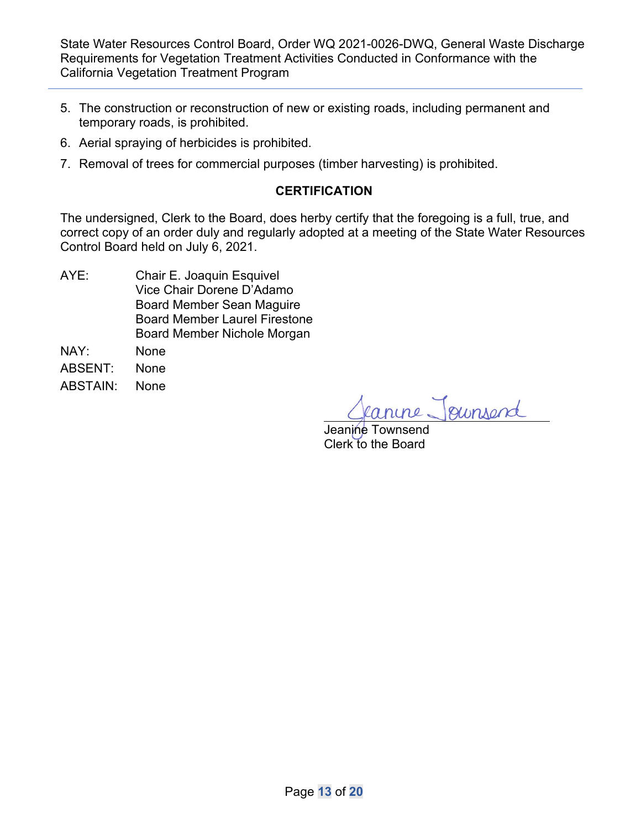- 5. The construction or reconstruction of new or existing roads, including permanent and temporary roads, is prohibited.
- 6. Aerial spraying of herbicides is prohibited.
- <span id="page-12-0"></span>7. Removal of trees for commercial purposes (timber harvesting) is prohibited.

#### **CERTIFICATION**

The undersigned, Clerk to the Board, does herby certify that the foregoing is a full, true, and correct copy of an order duly and regularly adopted at a meeting of the State Water Resources Control Board held on July 6, 2021.

- AYE: Chair E. Joaquin Esquivel Vice Chair Dorene D'Adamo Board Member Sean Maguire Board Member Laurel Firestone Board Member Nichole Morgan
- NAY: None
- ABSENT: None
- ABSTAIN: None

anine Joursend

Jeanine Townsend Clerk to the Board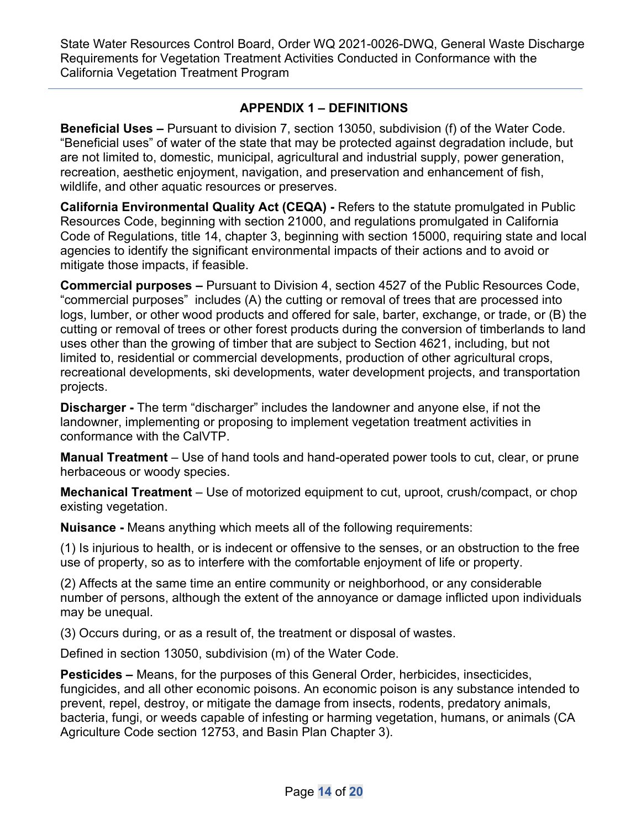#### **APPENDIX 1 – DEFINITIONS**

<span id="page-13-0"></span>**Beneficial Uses –** Pursuant to division 7, section 13050, subdivision (f) of the Water Code. "Beneficial uses" of water of the state that may be protected against degradation include, but are not limited to, domestic, municipal, agricultural and industrial supply, power generation, recreation, aesthetic enjoyment, navigation, and preservation and enhancement of fish, wildlife, and other aquatic resources or preserves.

**California Environmental Quality Act (CEQA) -** Refers to the statute promulgated in Public Resources Code, beginning with section 21000, and regulations promulgated in California Code of Regulations, title 14, chapter 3, beginning with section 15000, requiring state and local agencies to identify the significant environmental impacts of their actions and to avoid or mitigate those impacts, if feasible.

**Commercial purposes –** Pursuant to Division 4, section 4527 of the Public Resources Code, "commercial purposes" includes (A) the cutting or removal of trees that are processed into logs, lumber, or other wood products and offered for sale, barter, exchange, or trade, or (B) the cutting or removal of trees or other forest products during the conversion of timberlands to land uses other than the growing of timber that are subject to Section 4621, including, but not limited to, residential or commercial developments, production of other agricultural crops, recreational developments, ski developments, water development projects, and transportation projects.

**Discharger -** The term "discharger" includes the landowner and anyone else, if not the landowner, implementing or proposing to implement vegetation treatment activities in conformance with the CalVTP.

**Manual Treatment** – Use of hand tools and hand-operated power tools to cut, clear, or prune herbaceous or woody species.

**Mechanical Treatment** – Use of motorized equipment to cut, uproot, crush/compact, or chop existing vegetation.

**Nuisance -** Means anything which meets all of the following requirements:

(1) Is injurious to health, or is indecent or offensive to the senses, or an obstruction to the free use of property, so as to interfere with the comfortable enjoyment of life or property.

(2) Affects at the same time an entire community or neighborhood, or any considerable number of persons, although the extent of the annoyance or damage inflicted upon individuals may be unequal.

(3) Occurs during, or as a result of, the treatment or disposal of wastes.

Defined in section 13050, subdivision (m) of the Water Code.

**Pesticides –** Means, for the purposes of this General Order, herbicides, insecticides, fungicides, and all other economic poisons. An economic poison is any substance intended to prevent, repel, destroy, or mitigate the damage from insects, rodents, predatory animals, bacteria, fungi, or weeds capable of infesting or harming vegetation, humans, or animals (CA Agriculture Code section 12753, and Basin Plan Chapter 3).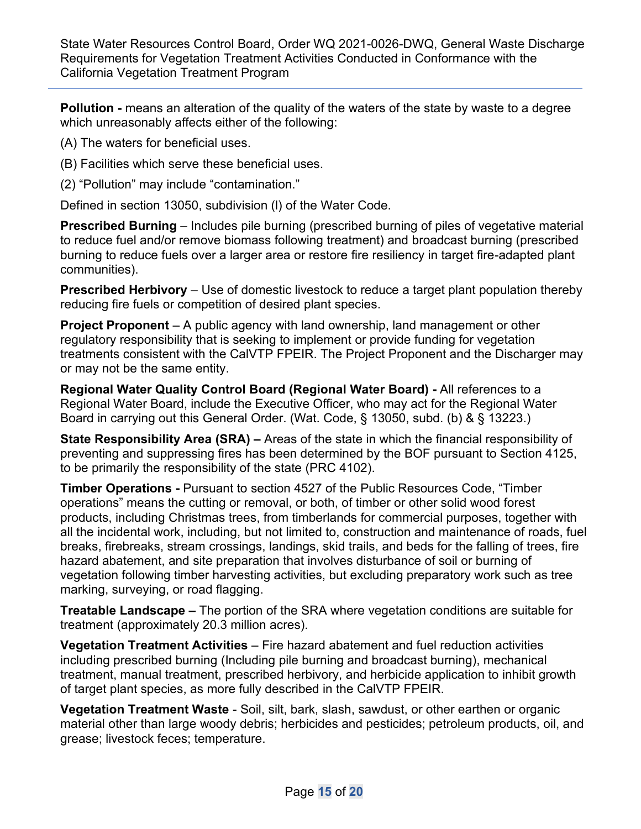**Pollution -** means an alteration of the quality of the waters of the state by waste to a degree which unreasonably affects either of the following:

- (A) The waters for beneficial uses.
- (B) Facilities which serve these beneficial uses.
- (2) "Pollution" may include "contamination."

Defined in section 13050, subdivision (l) of the Water Code.

**Prescribed Burning** – Includes pile burning (prescribed burning of piles of vegetative material to reduce fuel and/or remove biomass following treatment) and broadcast burning (prescribed burning to reduce fuels over a larger area or restore fire resiliency in target fire-adapted plant communities).

**Prescribed Herbivory** – Use of domestic livestock to reduce a target plant population thereby reducing fire fuels or competition of desired plant species.

**Project Proponent** – A public agency with land ownership, land management or other regulatory responsibility that is seeking to implement or provide funding for vegetation treatments consistent with the CalVTP FPEIR. The Project Proponent and the Discharger may or may not be the same entity.

**Regional Water Quality Control Board (Regional Water Board) -** All references to a Regional Water Board, include the Executive Officer, who may act for the Regional Water Board in carrying out this General Order. (Wat. Code, § 13050, subd. (b) & § 13223.)

**State Responsibility Area (SRA) –** Areas of the state in which the financial responsibility of preventing and suppressing fires has been determined by the BOF pursuant to Section 4125, to be primarily the responsibility of the state (PRC 4102).

**Timber Operations -** Pursuant to section 4527 of the Public Resources Code, "Timber operations" means the cutting or removal, or both, of timber or other solid wood forest products, including Christmas trees, from timberlands for commercial purposes, together with all the incidental work, including, but not limited to, construction and maintenance of roads, fuel breaks, firebreaks, stream crossings, landings, skid trails, and beds for the falling of trees, fire hazard abatement, and site preparation that involves disturbance of soil or burning of vegetation following timber harvesting activities, but excluding preparatory work such as tree marking, surveying, or road flagging.

**Treatable Landscape –** The portion of the SRA where vegetation conditions are suitable for treatment (approximately 20.3 million acres).

**Vegetation Treatment Activities** – Fire hazard abatement and fuel reduction activities including prescribed burning (Including pile burning and broadcast burning), mechanical treatment, manual treatment, prescribed herbivory, and herbicide application to inhibit growth of target plant species, as more fully described in the CalVTP FPEIR.

**Vegetation Treatment Waste** - Soil, silt, bark, slash, sawdust, or other earthen or organic material other than large woody debris; herbicides and pesticides; petroleum products, oil, and grease; livestock feces; temperature.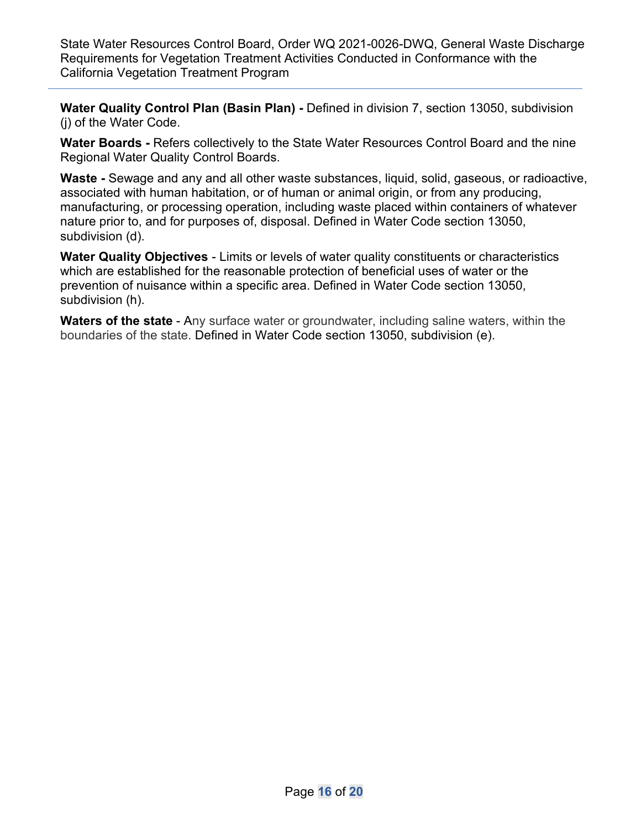**Water Quality Control Plan (Basin Plan) -** Defined in division 7, section 13050, subdivision (j) of the Water Code.

**Water Boards -** Refers collectively to the State Water Resources Control Board and the nine Regional Water Quality Control Boards.

**Waste -** Sewage and any and all other waste substances, liquid, solid, gaseous, or radioactive, associated with human habitation, or of human or animal origin, or from any producing, manufacturing, or processing operation, including waste placed within containers of whatever nature prior to, and for purposes of, disposal. Defined in Water Code section 13050, subdivision (d).

**Water Quality Objectives** - Limits or levels of water quality constituents or characteristics which are established for the reasonable protection of beneficial uses of water or the prevention of nuisance within a specific area. Defined in Water Code section 13050, subdivision (h).

**Waters of the state** - Any surface water or groundwater, including saline waters, within the boundaries of the state. Defined in Water Code section 13050, subdivision (e).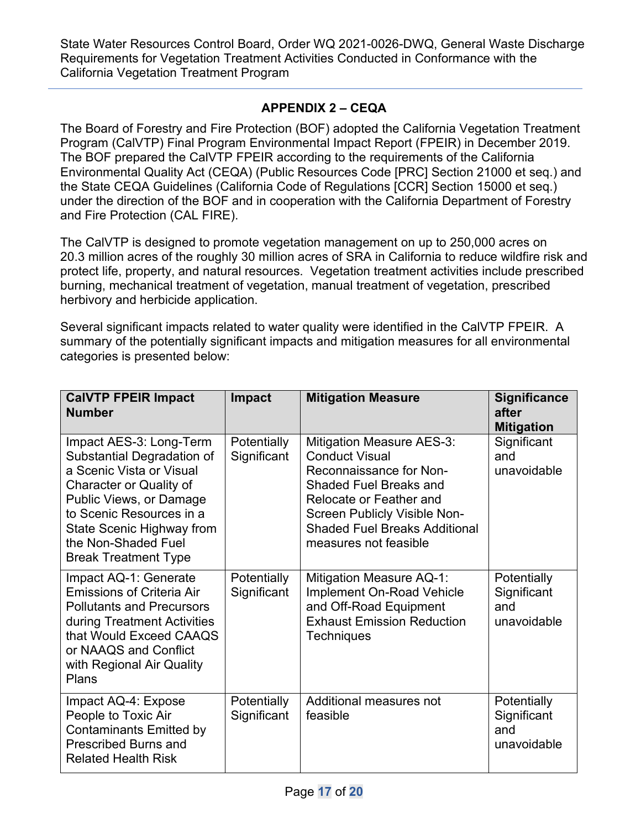# **APPENDIX 2 – CEQA**

<span id="page-16-0"></span>The Board of Forestry and Fire Protection (BOF) adopted the California Vegetation Treatment Program (CalVTP) Final Program Environmental Impact Report (FPEIR) in December 2019. The BOF prepared the CalVTP FPEIR according to the requirements of the California Environmental Quality Act (CEQA) (Public Resources Code [PRC] Section 21000 et seq.) and the State CEQA Guidelines (California Code of Regulations [CCR] Section 15000 et seq.) under the direction of the BOF and in cooperation with the California Department of Forestry and Fire Protection (CAL FIRE).

The CalVTP is designed to promote vegetation management on up to 250,000 acres on 20.3 million acres of the roughly 30 million acres of SRA in California to reduce wildfire risk and protect life, property, and natural resources. Vegetation treatment activities include prescribed burning, mechanical treatment of vegetation, manual treatment of vegetation, prescribed herbivory and herbicide application.

Several significant impacts related to water quality were identified in the CalVTP FPEIR. A summary of the potentially significant impacts and mitigation measures for all environmental categories is presented below:

| <b>CalVTP FPEIR Impact</b><br><b>Number</b>                                                                                                                                                                                                                   | <b>Impact</b>              | <b>Mitigation Measure</b>                                                                                                                                                                                                                         | <b>Significance</b><br>after<br><b>Mitigation</b> |
|---------------------------------------------------------------------------------------------------------------------------------------------------------------------------------------------------------------------------------------------------------------|----------------------------|---------------------------------------------------------------------------------------------------------------------------------------------------------------------------------------------------------------------------------------------------|---------------------------------------------------|
| Impact AES-3: Long-Term<br>Substantial Degradation of<br>a Scenic Vista or Visual<br><b>Character or Quality of</b><br>Public Views, or Damage<br>to Scenic Resources in a<br>State Scenic Highway from<br>the Non-Shaded Fuel<br><b>Break Treatment Type</b> | Potentially<br>Significant | <b>Mitigation Measure AES-3:</b><br><b>Conduct Visual</b><br>Reconnaissance for Non-<br><b>Shaded Fuel Breaks and</b><br>Relocate or Feather and<br>Screen Publicly Visible Non-<br><b>Shaded Fuel Breaks Additional</b><br>measures not feasible | Significant<br>and<br>unavoidable                 |
| Impact AQ-1: Generate<br><b>Emissions of Criteria Air</b><br><b>Pollutants and Precursors</b><br>during Treatment Activities<br>that Would Exceed CAAQS<br>or NAAQS and Conflict<br>with Regional Air Quality<br>Plans                                        | Potentially<br>Significant | <b>Mitigation Measure AQ-1:</b><br><b>Implement On-Road Vehicle</b><br>and Off-Road Equipment<br><b>Exhaust Emission Reduction</b><br>Techniques                                                                                                  | Potentially<br>Significant<br>and<br>unavoidable  |
| Impact AQ-4: Expose<br>People to Toxic Air<br><b>Contaminants Emitted by</b><br><b>Prescribed Burns and</b><br><b>Related Health Risk</b>                                                                                                                     | Potentially<br>Significant | Additional measures not<br>feasible                                                                                                                                                                                                               | Potentially<br>Significant<br>and<br>unavoidable  |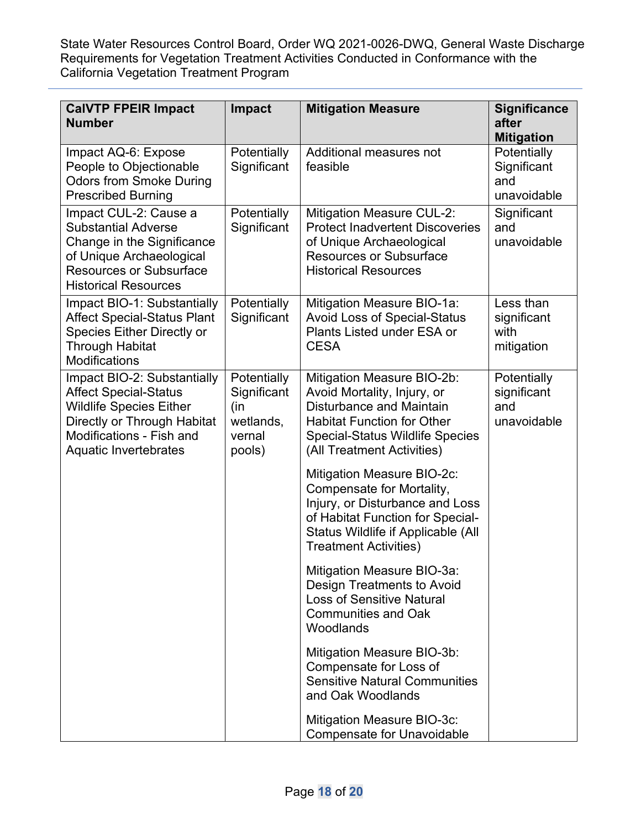| <b>CalVTP FPEIR Impact</b><br><b>Number</b>                                                                                                                                                     | <b>Impact</b>                                                      | <b>Mitigation Measure</b>                                                                                                                                                                                   | <b>Significance</b><br>after<br><b>Mitigation</b> |
|-------------------------------------------------------------------------------------------------------------------------------------------------------------------------------------------------|--------------------------------------------------------------------|-------------------------------------------------------------------------------------------------------------------------------------------------------------------------------------------------------------|---------------------------------------------------|
| Impact AQ-6: Expose<br>People to Objectionable<br><b>Odors from Smoke During</b><br><b>Prescribed Burning</b>                                                                                   | Potentially<br>Significant                                         | Additional measures not<br>feasible                                                                                                                                                                         | Potentially<br>Significant<br>and<br>unavoidable  |
| Impact CUL-2: Cause a<br><b>Substantial Adverse</b><br>Change in the Significance<br>of Unique Archaeological<br><b>Resources or Subsurface</b><br><b>Historical Resources</b>                  | Potentially<br>Significant                                         | <b>Mitigation Measure CUL-2:</b><br><b>Protect Inadvertent Discoveries</b><br>of Unique Archaeological<br><b>Resources or Subsurface</b><br><b>Historical Resources</b>                                     | Significant<br>and<br>unavoidable                 |
| Impact BIO-1: Substantially<br><b>Affect Special-Status Plant</b><br><b>Species Either Directly or</b><br><b>Through Habitat</b><br><b>Modifications</b>                                        | Potentially<br>Significant                                         | Mitigation Measure BIO-1a:<br><b>Avoid Loss of Special-Status</b><br>Plants Listed under ESA or<br><b>CESA</b>                                                                                              | Less than<br>significant<br>with<br>mitigation    |
| Impact BIO-2: Substantially<br><b>Affect Special-Status</b><br><b>Wildlife Species Either</b><br>Directly or Through Habitat<br><b>Modifications - Fish and</b><br><b>Aquatic Invertebrates</b> | Potentially<br>Significant<br>(in<br>wetlands,<br>vernal<br>pools) | Mitigation Measure BIO-2b:<br>Avoid Mortality, Injury, or<br>Disturbance and Maintain<br><b>Habitat Function for Other</b><br><b>Special-Status Wildlife Species</b><br>(All Treatment Activities)          | Potentially<br>significant<br>and<br>unavoidable  |
|                                                                                                                                                                                                 |                                                                    | <b>Mitigation Measure BIO-2c:</b><br>Compensate for Mortality,<br>Injury, or Disturbance and Loss<br>of Habitat Function for Special-<br>Status Wildlife if Applicable (All<br><b>Treatment Activities)</b> |                                                   |
|                                                                                                                                                                                                 |                                                                    | Mitigation Measure BIO-3a:<br><b>Design Treatments to Avoid</b><br><b>Loss of Sensitive Natural</b><br><b>Communities and Oak</b><br>Woodlands                                                              |                                                   |
|                                                                                                                                                                                                 |                                                                    | Mitigation Measure BIO-3b:<br>Compensate for Loss of<br><b>Sensitive Natural Communities</b><br>and Oak Woodlands                                                                                           |                                                   |
|                                                                                                                                                                                                 |                                                                    | Mitigation Measure BIO-3c:<br><b>Compensate for Unavoidable</b>                                                                                                                                             |                                                   |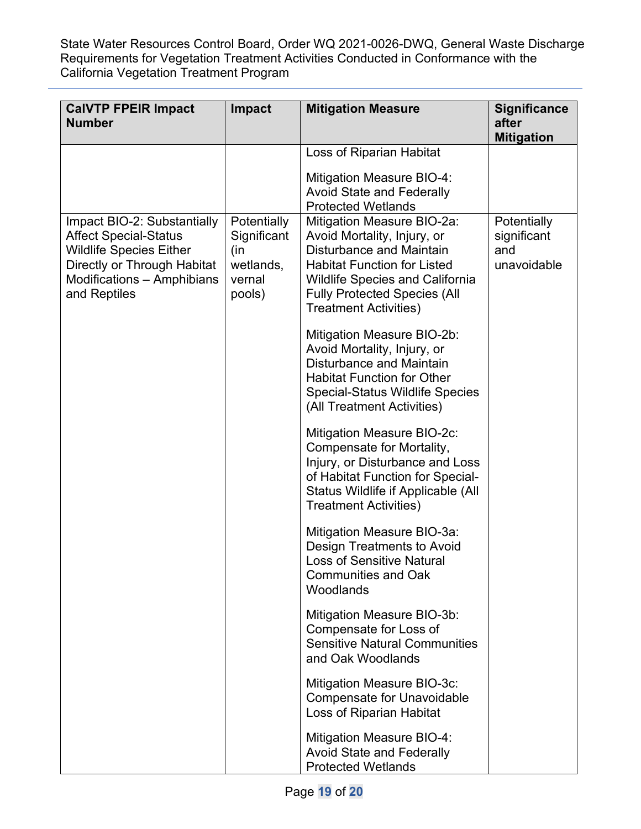| <b>CalVTP FPEIR Impact</b><br><b>Number</b>                                                                                                                                | <b>Impact</b>                                                      | <b>Mitigation Measure</b>                                                                                                                                                                                                                    | <b>Significance</b><br>after<br><b>Mitigation</b> |
|----------------------------------------------------------------------------------------------------------------------------------------------------------------------------|--------------------------------------------------------------------|----------------------------------------------------------------------------------------------------------------------------------------------------------------------------------------------------------------------------------------------|---------------------------------------------------|
|                                                                                                                                                                            |                                                                    | Loss of Riparian Habitat                                                                                                                                                                                                                     |                                                   |
|                                                                                                                                                                            |                                                                    | <b>Mitigation Measure BIO-4:</b><br><b>Avoid State and Federally</b><br><b>Protected Wetlands</b>                                                                                                                                            |                                                   |
| Impact BIO-2: Substantially<br><b>Affect Special-Status</b><br><b>Wildlife Species Either</b><br>Directly or Through Habitat<br>Modifications - Amphibians<br>and Reptiles | Potentially<br>Significant<br>(in<br>wetlands,<br>vernal<br>pools) | Mitigation Measure BIO-2a:<br>Avoid Mortality, Injury, or<br>Disturbance and Maintain<br><b>Habitat Function for Listed</b><br><b>Wildlife Species and California</b><br><b>Fully Protected Species (All</b><br><b>Treatment Activities)</b> | Potentially<br>significant<br>and<br>unavoidable  |
|                                                                                                                                                                            |                                                                    | Mitigation Measure BIO-2b:<br>Avoid Mortality, Injury, or<br>Disturbance and Maintain<br><b>Habitat Function for Other</b><br><b>Special-Status Wildlife Species</b><br>(All Treatment Activities)                                           |                                                   |
|                                                                                                                                                                            |                                                                    | Mitigation Measure BIO-2c:<br>Compensate for Mortality,<br>Injury, or Disturbance and Loss<br>of Habitat Function for Special-<br>Status Wildlife if Applicable (All<br><b>Treatment Activities)</b>                                         |                                                   |
|                                                                                                                                                                            |                                                                    | Mitigation Measure BIO-3a:<br><b>Design Treatments to Avoid</b><br><b>Loss of Sensitive Natural</b><br><b>Communities and Oak</b><br>Woodlands                                                                                               |                                                   |
|                                                                                                                                                                            |                                                                    | Mitigation Measure BIO-3b:<br>Compensate for Loss of<br><b>Sensitive Natural Communities</b><br>and Oak Woodlands                                                                                                                            |                                                   |
|                                                                                                                                                                            |                                                                    | Mitigation Measure BIO-3c:<br><b>Compensate for Unavoidable</b><br>Loss of Riparian Habitat                                                                                                                                                  |                                                   |
|                                                                                                                                                                            |                                                                    | <b>Mitigation Measure BIO-4:</b><br><b>Avoid State and Federally</b><br><b>Protected Wetlands</b>                                                                                                                                            |                                                   |